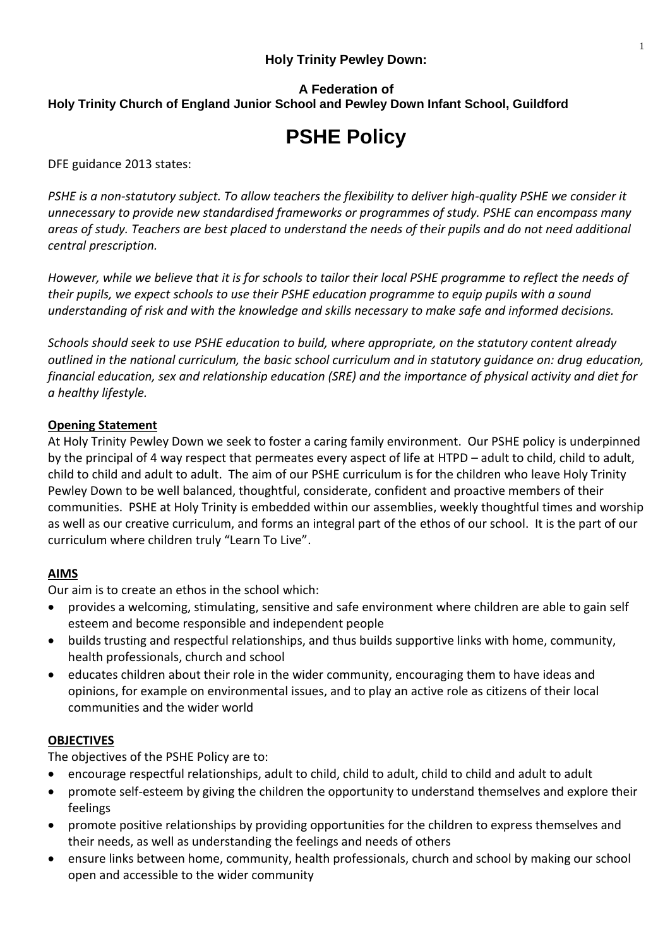## **Holy Trinity Pewley Down:**

## **A Federation of Holy Trinity Church of England Junior School and Pewley Down Infant School, Guildford**

# **PSHE Policy**

DFE guidance 2013 states:

*PSHE is a non-statutory subject. To allow teachers the flexibility to deliver high-quality PSHE we consider it unnecessary to provide new standardised frameworks or programmes of study. PSHE can encompass many areas of study. Teachers are best placed to understand the needs of their pupils and do not need additional central prescription.*

*However, while we believe that it is for schools to tailor their local PSHE programme to reflect the needs of their pupils, we expect schools to use their PSHE education programme to equip pupils with a sound understanding of risk and with the knowledge and skills necessary to make safe and informed decisions.*

*Schools should seek to use PSHE education to build, where appropriate, on the statutory content already outlined in the national curriculum, the basic school curriculum and in statutory guidance on: drug education, financial education, sex and relationship education (SRE) and the importance of physical activity and diet for a healthy lifestyle.* 

## **Opening Statement**

At Holy Trinity Pewley Down we seek to foster a caring family environment. Our PSHE policy is underpinned by the principal of 4 way respect that permeates every aspect of life at HTPD – adult to child, child to adult, child to child and adult to adult. The aim of our PSHE curriculum is for the children who leave Holy Trinity Pewley Down to be well balanced, thoughtful, considerate, confident and proactive members of their communities. PSHE at Holy Trinity is embedded within our assemblies, weekly thoughtful times and worship as well as our creative curriculum, and forms an integral part of the ethos of our school. It is the part of our curriculum where children truly "Learn To Live".

# **AIMS**

Our aim is to create an ethos in the school which:

- provides a welcoming, stimulating, sensitive and safe environment where children are able to gain self esteem and become responsible and independent people
- builds trusting and respectful relationships, and thus builds supportive links with home, community, health professionals, church and school
- educates children about their role in the wider community, encouraging them to have ideas and opinions, for example on environmental issues, and to play an active role as citizens of their local communities and the wider world

### **OBJECTIVES**

The objectives of the PSHE Policy are to:

- encourage respectful relationships, adult to child, child to adult, child to child and adult to adult
- promote self-esteem by giving the children the opportunity to understand themselves and explore their feelings
- promote positive relationships by providing opportunities for the children to express themselves and their needs, as well as understanding the feelings and needs of others
- ensure links between home, community, health professionals, church and school by making our school open and accessible to the wider community